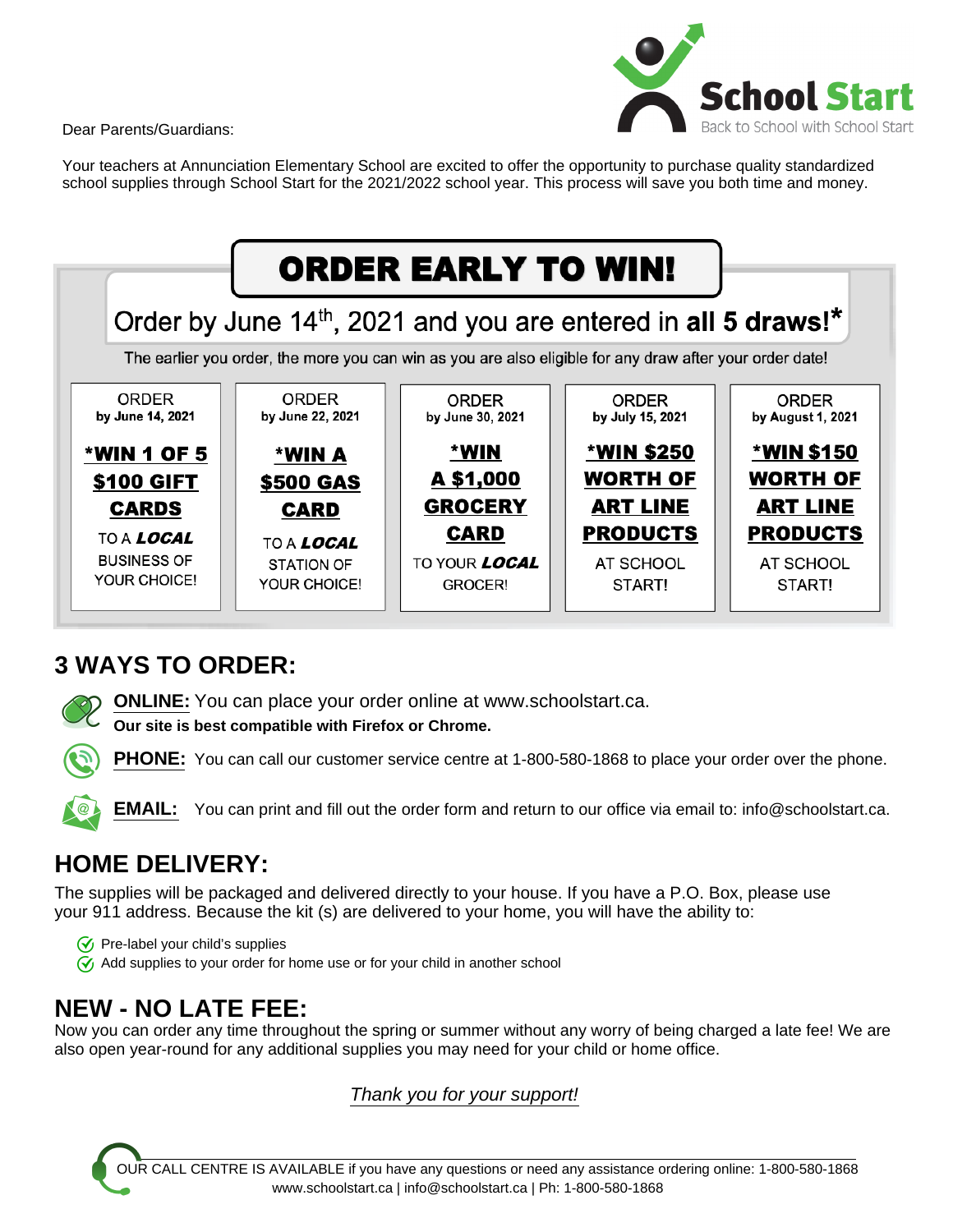Dear Parents/Guardians:



Your teachers at Annunciation Elementary School are excited to offer the opportunity to purchase quality standardized school supplies through School Start for the 2021/2022 school year. This process will save you both time and money.



## **3 WAYS TO ORDER:**

**ONLINE:** You can place your order online at www.schoolstart.ca.

**Our site is best compatible with Firefox or Chrome.**

**PHONE:** You can call our customer service centre at 1-800-580-1868 to place your order over the phone.

**EMAIL:** You can print and fill out the order form and return to our office via email to: info@schoolstart.ca.

# **HOME DELIVERY:**

The supplies will be packaged and delivered directly to your house. If you have a P.O. Box, please use your 911 address. Because the kit (s) are delivered to your home, you will have the ability to:

 $\sqrt{\sqrt{2}}$  Pre-label your child's supplies  $\gamma$  Add supplies to your order for home use or for your child in another school

# **NEW - NO LATE FEE:**

Now you can order any time throughout the spring or summer without any worry of being charged a late fee! We are also open year-round for any additional supplies you may need for your child or home office.

Thank you for your support!

OUR CALL CENTRE IS AVAILABLE if you have any questions or need any assistance ordering online: 1-800-580-1868 www.schoolstart.ca | info@schoolstart.ca | Ph: 1-800-580-1868